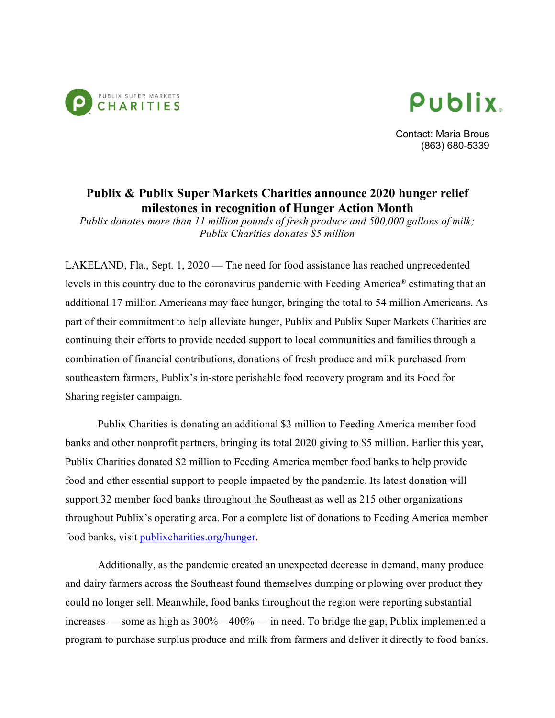



Contact: Maria Brous (863) 680-5339

## **Publix & Publix Super Markets Charities announce 2020 hunger relief milestones in recognition of Hunger Action Month**

*Publix donates more than 11 million pounds of fresh produce and 500,000 gallons of milk; Publix Charities donates \$5 million* 

LAKELAND, Fla., Sept. 1, 2020 **—** The need for food assistance has reached unprecedented levels in this country due to the coronavirus pandemic with Feeding America® estimating that an additional 17 million Americans may face hunger, bringing the total to 54 million Americans. As part of their commitment to help alleviate hunger, Publix and Publix Super Markets Charities are continuing their efforts to provide needed support to local communities and families through a combination of financial contributions, donations of fresh produce and milk purchased from southeastern farmers, Publix's in-store perishable food recovery program and its Food for Sharing register campaign.

Publix Charities is donating an additional \$3 million to Feeding America member food banks and other nonprofit partners, bringing its total 2020 giving to \$5 million. Earlier this year, Publix Charities donated \$2 million to Feeding America member food banks to help provide food and other essential support to people impacted by the pandemic. Its latest donation will support 32 member food banks throughout the Southeast as well as 215 other organizations throughout Publix's operating area. For a complete list of donations to Feeding America member food banks, visit [publixcharities.org/hunger.](https://publixcharities.org/publix-charities-continues-helping-local-communities/)

Additionally, as the pandemic created an unexpected decrease in demand, many produce and dairy farmers across the Southeast found themselves dumping or plowing over product they could no longer sell. Meanwhile, food banks throughout the region were reporting substantial increases — some as high as 300% – 400% — in need. To bridge the gap, Publix implemented a program to purchase surplus produce and milk from farmers and deliver it directly to food banks.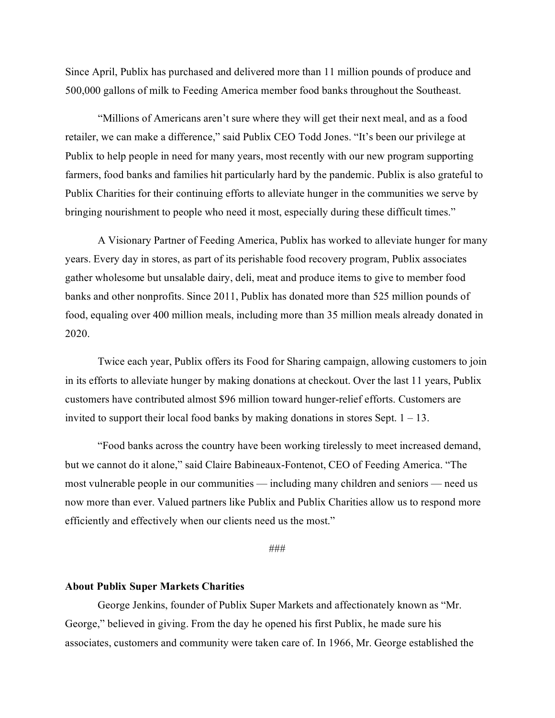Since April, Publix has purchased and delivered more than 11 million pounds of produce and 500,000 gallons of milk to Feeding America member food banks throughout the Southeast.

"Millions of Americans aren't sure where they will get their next meal, and as a food retailer, we can make a difference," said Publix CEO Todd Jones. "It's been our privilege at Publix to help people in need for many years, most recently with our new program supporting farmers, food banks and families hit particularly hard by the pandemic. Publix is also grateful to Publix Charities for their continuing efforts to alleviate hunger in the communities we serve by bringing nourishment to people who need it most, especially during these difficult times."

A Visionary Partner of Feeding America, Publix has worked to alleviate hunger for many years. Every day in stores, as part of its perishable food recovery program, Publix associates gather wholesome but unsalable dairy, deli, meat and produce items to give to member food banks and other nonprofits. Since 2011, Publix has donated more than 525 million pounds of food, equaling over 400 million meals, including more than 35 million meals already donated in 2020.

Twice each year, Publix offers its Food for Sharing campaign, allowing customers to join in its efforts to alleviate hunger by making donations at checkout. Over the last 11 years, Publix customers have contributed almost \$96 million toward hunger-relief efforts. Customers are invited to support their local food banks by making donations in stores Sept.  $1 - 13$ .

"Food banks across the country have been working tirelessly to meet increased demand, but we cannot do it alone," said Claire Babineaux-Fontenot, CEO of Feeding America. "The most vulnerable people in our communities — including many children and seniors — need us now more than ever. Valued partners like Publix and Publix Charities allow us to respond more efficiently and effectively when our clients need us the most."

###

## **About Publix Super Markets Charities**

George Jenkins, founder of Publix Super Markets and affectionately known as "Mr. George," believed in giving. From the day he opened his first Publix, he made sure his associates, customers and community were taken care of. In 1966, Mr. George established the